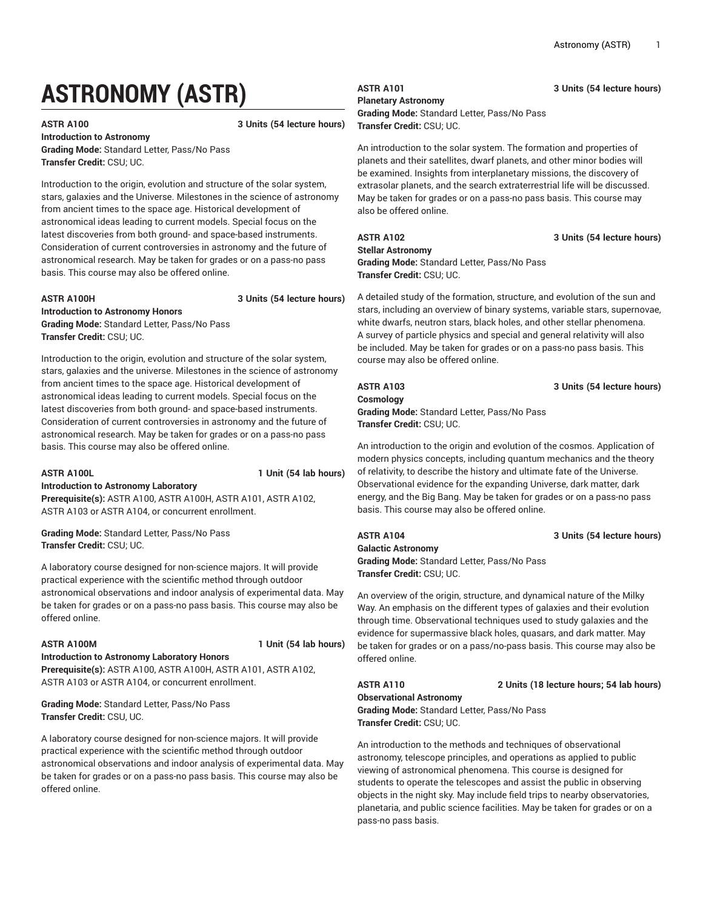# **ASTRONOMY (ASTR)**

**ASTR A100 3 Units (54 lecture hours)**

**Introduction to Astronomy Grading Mode:** Standard Letter, Pass/No Pass **Transfer Credit:** CSU; UC.

Introduction to the origin, evolution and structure of the solar system, stars, galaxies and the Universe. Milestones in the science of astronomy from ancient times to the space age. Historical development of astronomical ideas leading to current models. Special focus on the latest discoveries from both ground- and space-based instruments. Consideration of current controversies in astronomy and the future of astronomical research. May be taken for grades or on a pass-no pass basis. This course may also be offered online.

**ASTR A100H 3 Units (54 lecture hours)**

**Introduction to Astronomy Honors Grading Mode:** Standard Letter, Pass/No Pass **Transfer Credit:** CSU; UC.

Introduction to the origin, evolution and structure of the solar system, stars, galaxies and the universe. Milestones in the science of astronomy from ancient times to the space age. Historical development of astronomical ideas leading to current models. Special focus on the latest discoveries from both ground- and space-based instruments. Consideration of current controversies in astronomy and the future of astronomical research. May be taken for grades or on a pass-no pass basis. This course may also be offered online.

**ASTR A100L 1 Unit (54 lab hours)**

**Introduction to Astronomy Laboratory Prerequisite(s):** ASTR A100, ASTR A100H, ASTR A101, ASTR A102, ASTR A103 or ASTR A104, or concurrent enrollment.

**Grading Mode:** Standard Letter, Pass/No Pass **Transfer Credit:** CSU; UC.

A laboratory course designed for non-science majors. It will provide practical experience with the scientific method through outdoor astronomical observations and indoor analysis of experimental data. May be taken for grades or on a pass-no pass basis. This course may also be offered online.

**ASTR A100M 1 Unit (54 lab hours)**

**Introduction to Astronomy Laboratory Honors Prerequisite(s):** ASTR A100, ASTR A100H, ASTR A101, ASTR A102, ASTR A103 or ASTR A104, or concurrent enrollment.

**Grading Mode:** Standard Letter, Pass/No Pass **Transfer Credit:** CSU, UC.

A laboratory course designed for non-science majors. It will provide practical experience with the scientific method through outdoor astronomical observations and indoor analysis of experimental data. May be taken for grades or on a pass-no pass basis. This course may also be offered online.

# **ASTR A101 3 Units (54 lecture hours)**

**Planetary Astronomy Grading Mode:** Standard Letter, Pass/No Pass

**Transfer Credit:** CSU; UC.

An introduction to the solar system. The formation and properties of planets and their satellites, dwarf planets, and other minor bodies will be examined. Insights from interplanetary missions, the discovery of extrasolar planets, and the search extraterrestrial life will be discussed. May be taken for grades or on a pass-no pass basis. This course may also be offered online.

### **ASTR A102 3 Units (54 lecture hours)**

**Stellar Astronomy**

**Grading Mode:** Standard Letter, Pass/No Pass **Transfer Credit:** CSU; UC.

A detailed study of the formation, structure, and evolution of the sun and stars, including an overview of binary systems, variable stars, supernovae, white dwarfs, neutron stars, black holes, and other stellar phenomena. A survey of particle physics and special and general relativity will also be included. May be taken for grades or on a pass-no pass basis. This course may also be offered online.

## **ASTR A103 3 Units (54 lecture hours)**

**Cosmology Grading Mode:** Standard Letter, Pass/No Pass **Transfer Credit:** CSU; UC.

An introduction to the origin and evolution of the cosmos. Application of modern physics concepts, including quantum mechanics and the theory of relativity, to describe the history and ultimate fate of the Universe. Observational evidence for the expanding Universe, dark matter, dark energy, and the Big Bang. May be taken for grades or on a pass-no pass basis. This course may also be offered online.

### **ASTR A104 3 Units (54 lecture hours)**

**Galactic Astronomy Grading Mode:** Standard Letter, Pass/No Pass **Transfer Credit:** CSU; UC.

An overview of the origin, structure, and dynamical nature of the Milky Way. An emphasis on the different types of galaxies and their evolution through time. Observational techniques used to study galaxies and the evidence for supermassive black holes, quasars, and dark matter. May be taken for grades or on a pass/no-pass basis. This course may also be offered online.

**ASTR A110 2 Units (18 lecture hours; 54 lab hours)**

**Observational Astronomy Grading Mode:** Standard Letter, Pass/No Pass **Transfer Credit:** CSU; UC.

An introduction to the methods and techniques of observational astronomy, telescope principles, and operations as applied to public viewing of astronomical phenomena. This course is designed for students to operate the telescopes and assist the public in observing objects in the night sky. May include field trips to nearby observatories, planetaria, and public science facilities. May be taken for grades or on a pass-no pass basis.